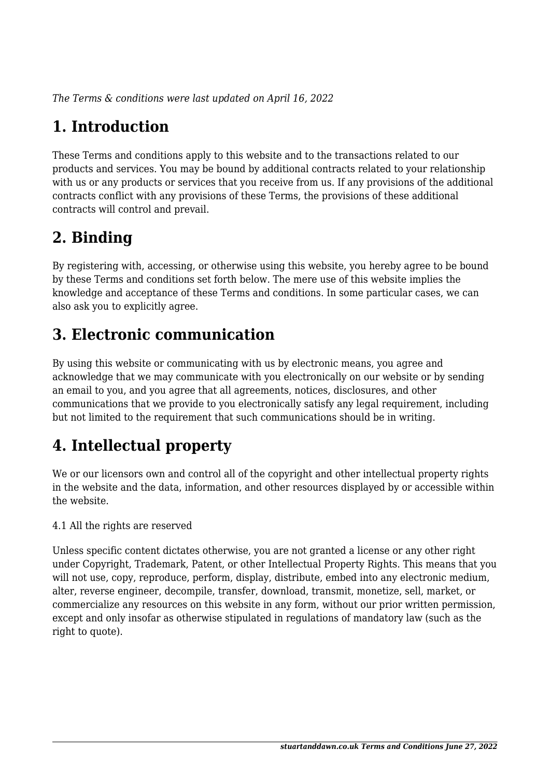*The Terms & conditions were last updated on April 16, 2022*

# **1. Introduction**

These Terms and conditions apply to this website and to the transactions related to our products and services. You may be bound by additional contracts related to your relationship with us or any products or services that you receive from us. If any provisions of the additional contracts conflict with any provisions of these Terms, the provisions of these additional contracts will control and prevail.

# **2. Binding**

By registering with, accessing, or otherwise using this website, you hereby agree to be bound by these Terms and conditions set forth below. The mere use of this website implies the knowledge and acceptance of these Terms and conditions. In some particular cases, we can also ask you to explicitly agree.

# **3. Electronic communication**

By using this website or communicating with us by electronic means, you agree and acknowledge that we may communicate with you electronically on our website or by sending an email to you, and you agree that all agreements, notices, disclosures, and other communications that we provide to you electronically satisfy any legal requirement, including but not limited to the requirement that such communications should be in writing.

# **4. Intellectual property**

We or our licensors own and control all of the copyright and other intellectual property rights in the website and the data, information, and other resources displayed by or accessible within the website.

4.1 All the rights are reserved

Unless specific content dictates otherwise, you are not granted a license or any other right under Copyright, Trademark, Patent, or other Intellectual Property Rights. This means that you will not use, copy, reproduce, perform, display, distribute, embed into any electronic medium, alter, reverse engineer, decompile, transfer, download, transmit, monetize, sell, market, or commercialize any resources on this website in any form, without our prior written permission, except and only insofar as otherwise stipulated in regulations of mandatory law (such as the right to quote).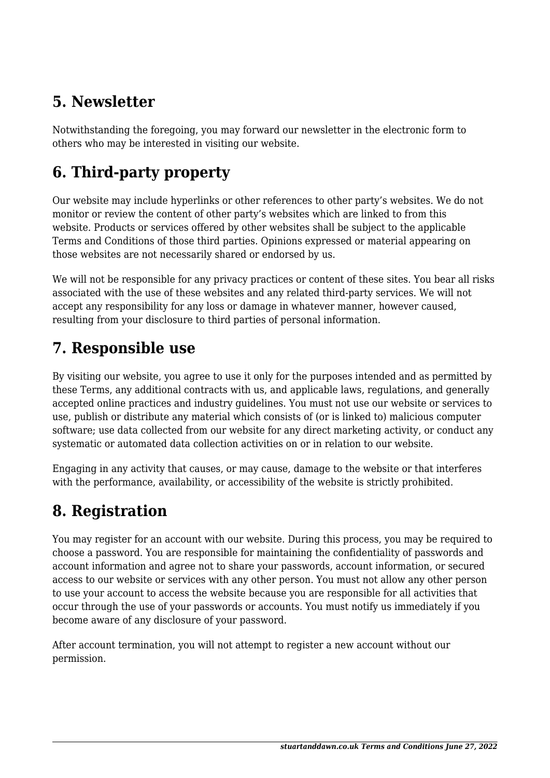# **5. Newsletter**

Notwithstanding the foregoing, you may forward our newsletter in the electronic form to others who may be interested in visiting our website.

# **6. Third-party property**

Our website may include hyperlinks or other references to other party's websites. We do not monitor or review the content of other party's websites which are linked to from this website. Products or services offered by other websites shall be subject to the applicable Terms and Conditions of those third parties. Opinions expressed or material appearing on those websites are not necessarily shared or endorsed by us.

We will not be responsible for any privacy practices or content of these sites. You bear all risks associated with the use of these websites and any related third-party services. We will not accept any responsibility for any loss or damage in whatever manner, however caused, resulting from your disclosure to third parties of personal information.

#### **7. Responsible use**

By visiting our website, you agree to use it only for the purposes intended and as permitted by these Terms, any additional contracts with us, and applicable laws, regulations, and generally accepted online practices and industry guidelines. You must not use our website or services to use, publish or distribute any material which consists of (or is linked to) malicious computer software; use data collected from our website for any direct marketing activity, or conduct any systematic or automated data collection activities on or in relation to our website.

Engaging in any activity that causes, or may cause, damage to the website or that interferes with the performance, availability, or accessibility of the website is strictly prohibited.

# **8. Registration**

You may register for an account with our website. During this process, you may be required to choose a password. You are responsible for maintaining the confidentiality of passwords and account information and agree not to share your passwords, account information, or secured access to our website or services with any other person. You must not allow any other person to use your account to access the website because you are responsible for all activities that occur through the use of your passwords or accounts. You must notify us immediately if you become aware of any disclosure of your password.

After account termination, you will not attempt to register a new account without our permission.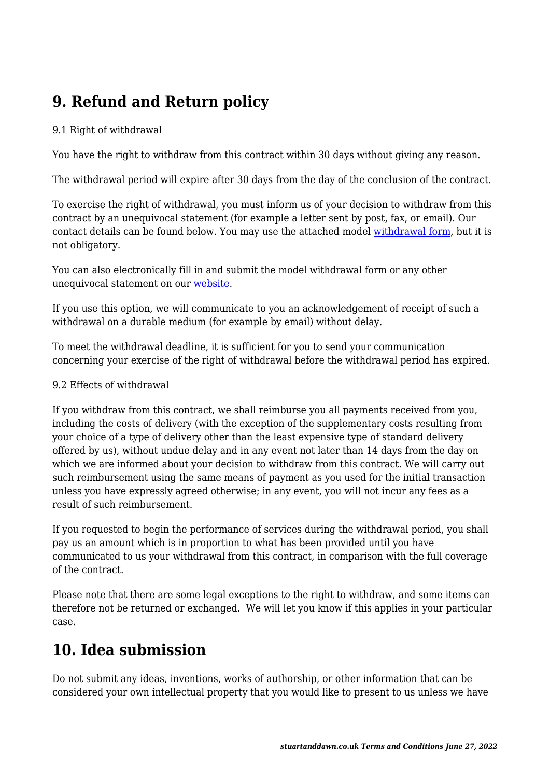# **9. Refund and Return policy**

#### 9.1 Right of withdrawal

You have the right to withdraw from this contract within 30 days without giving any reason.

The withdrawal period will expire after 30 days from the day of the conclusion of the contract.

To exercise the right of withdrawal, you must inform us of your decision to withdraw from this contract by an unequivocal statement (for example a letter sent by post, fax, or email). Our contact details can be found below. You may use the attached model [withdrawal form](https://stuartanddawn.co.uk/wp-content/uploads/complianz/withdrawal-forms/withdrawal-form-en.pdf), but it is not obligatory.

You can also electronically fill in and submit the model withdrawal form or any other unequivocal statement on our [website](https://stuartanddawn.co.uk/contact/).

If you use this option, we will communicate to you an acknowledgement of receipt of such a withdrawal on a durable medium (for example by email) without delay.

To meet the withdrawal deadline, it is sufficient for you to send your communication concerning your exercise of the right of withdrawal before the withdrawal period has expired.

#### 9.2 Effects of withdrawal

If you withdraw from this contract, we shall reimburse you all payments received from you, including the costs of delivery (with the exception of the supplementary costs resulting from your choice of a type of delivery other than the least expensive type of standard delivery offered by us), without undue delay and in any event not later than 14 days from the day on which we are informed about your decision to withdraw from this contract. We will carry out such reimbursement using the same means of payment as you used for the initial transaction unless you have expressly agreed otherwise; in any event, you will not incur any fees as a result of such reimbursement.

If you requested to begin the performance of services during the withdrawal period, you shall pay us an amount which is in proportion to what has been provided until you have communicated to us your withdrawal from this contract, in comparison with the full coverage of the contract.

Please note that there are some legal exceptions to the right to withdraw, and some items can therefore not be returned or exchanged. We will let you know if this applies in your particular case.

#### **10. Idea submission**

Do not submit any ideas, inventions, works of authorship, or other information that can be considered your own intellectual property that you would like to present to us unless we have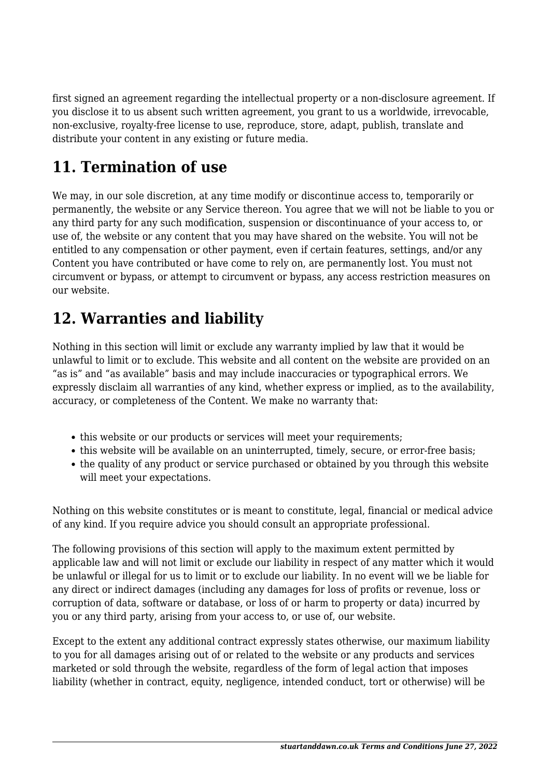first signed an agreement regarding the intellectual property or a non-disclosure agreement. If you disclose it to us absent such written agreement, you grant to us a worldwide, irrevocable, non-exclusive, royalty-free license to use, reproduce, store, adapt, publish, translate and distribute your content in any existing or future media.

# **11. Termination of use**

We may, in our sole discretion, at any time modify or discontinue access to, temporarily or permanently, the website or any Service thereon. You agree that we will not be liable to you or any third party for any such modification, suspension or discontinuance of your access to, or use of, the website or any content that you may have shared on the website. You will not be entitled to any compensation or other payment, even if certain features, settings, and/or any Content you have contributed or have come to rely on, are permanently lost. You must not circumvent or bypass, or attempt to circumvent or bypass, any access restriction measures on our website.

### **12. Warranties and liability**

Nothing in this section will limit or exclude any warranty implied by law that it would be unlawful to limit or to exclude. This website and all content on the website are provided on an "as is" and "as available" basis and may include inaccuracies or typographical errors. We expressly disclaim all warranties of any kind, whether express or implied, as to the availability, accuracy, or completeness of the Content. We make no warranty that:

- this website or our products or services will meet your requirements;
- this website will be available on an uninterrupted, timely, secure, or error-free basis;
- the quality of any product or service purchased or obtained by you through this website will meet your expectations.

Nothing on this website constitutes or is meant to constitute, legal, financial or medical advice of any kind. If you require advice you should consult an appropriate professional.

The following provisions of this section will apply to the maximum extent permitted by applicable law and will not limit or exclude our liability in respect of any matter which it would be unlawful or illegal for us to limit or to exclude our liability. In no event will we be liable for any direct or indirect damages (including any damages for loss of profits or revenue, loss or corruption of data, software or database, or loss of or harm to property or data) incurred by you or any third party, arising from your access to, or use of, our website.

Except to the extent any additional contract expressly states otherwise, our maximum liability to you for all damages arising out of or related to the website or any products and services marketed or sold through the website, regardless of the form of legal action that imposes liability (whether in contract, equity, negligence, intended conduct, tort or otherwise) will be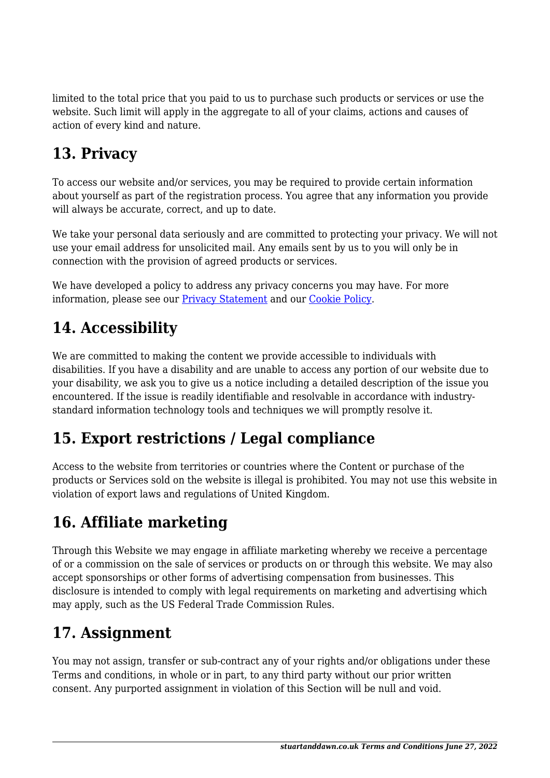limited to the total price that you paid to us to purchase such products or services or use the website. Such limit will apply in the aggregate to all of your claims, actions and causes of action of every kind and nature.

# **13. Privacy**

To access our website and/or services, you may be required to provide certain information about yourself as part of the registration process. You agree that any information you provide will always be accurate, correct, and up to date.

We take your personal data seriously and are committed to protecting your privacy. We will not use your email address for unsolicited mail. Any emails sent by us to you will only be in connection with the provision of agreed products or services.

We have developed a policy to address any privacy concerns you may have. For more information, please see our **Privacy Statement** and our **Cookie Policy**.

# **14. Accessibility**

We are committed to making the content we provide accessible to individuals with disabilities. If you have a disability and are unable to access any portion of our website due to your disability, we ask you to give us a notice including a detailed description of the issue you encountered. If the issue is readily identifiable and resolvable in accordance with industrystandard information technology tools and techniques we will promptly resolve it.

# **15. Export restrictions / Legal compliance**

Access to the website from territories or countries where the Content or purchase of the products or Services sold on the website is illegal is prohibited. You may not use this website in violation of export laws and regulations of United Kingdom.

# **16. Affiliate marketing**

Through this Website we may engage in affiliate marketing whereby we receive a percentage of or a commission on the sale of services or products on or through this website. We may also accept sponsorships or other forms of advertising compensation from businesses. This disclosure is intended to comply with legal requirements on marketing and advertising which may apply, such as the US Federal Trade Commission Rules.

# **17. Assignment**

You may not assign, transfer or sub-contract any of your rights and/or obligations under these Terms and conditions, in whole or in part, to any third party without our prior written consent. Any purported assignment in violation of this Section will be null and void.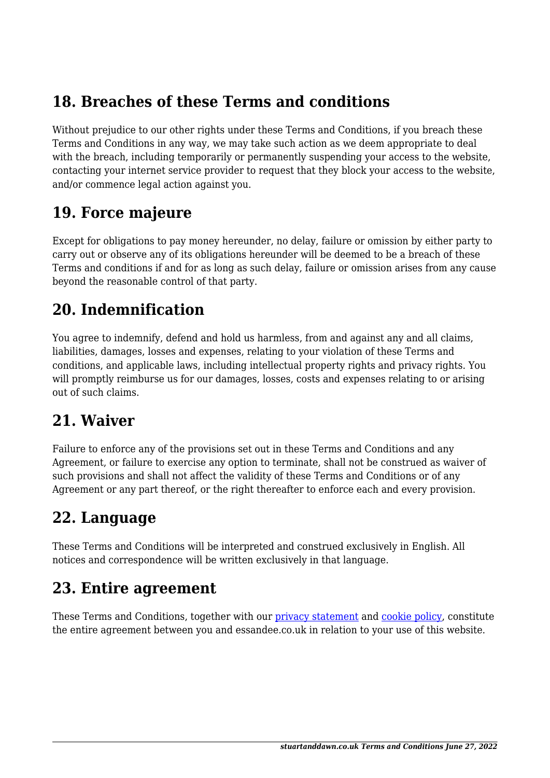#### **18. Breaches of these Terms and conditions**

Without prejudice to our other rights under these Terms and Conditions, if you breach these Terms and Conditions in any way, we may take such action as we deem appropriate to deal with the breach, including temporarily or permanently suspending your access to the website, contacting your internet service provider to request that they block your access to the website, and/or commence legal action against you.

#### **19. Force majeure**

Except for obligations to pay money hereunder, no delay, failure or omission by either party to carry out or observe any of its obligations hereunder will be deemed to be a breach of these Terms and conditions if and for as long as such delay, failure or omission arises from any cause beyond the reasonable control of that party.

#### **20. Indemnification**

You agree to indemnify, defend and hold us harmless, from and against any and all claims, liabilities, damages, losses and expenses, relating to your violation of these Terms and conditions, and applicable laws, including intellectual property rights and privacy rights. You will promptly reimburse us for our damages, losses, costs and expenses relating to or arising out of such claims.

#### **21. Waiver**

Failure to enforce any of the provisions set out in these Terms and Conditions and any Agreement, or failure to exercise any option to terminate, shall not be construed as waiver of such provisions and shall not affect the validity of these Terms and Conditions or of any Agreement or any part thereof, or the right thereafter to enforce each and every provision.

#### **22. Language**

These Terms and Conditions will be interpreted and construed exclusively in English. All notices and correspondence will be written exclusively in that language.

#### **23. Entire agreement**

These Terms and Conditions, together with our privacy statement and cookie policy, constitute the entire agreement between you and essandee.co.uk in relation to your use of this website.